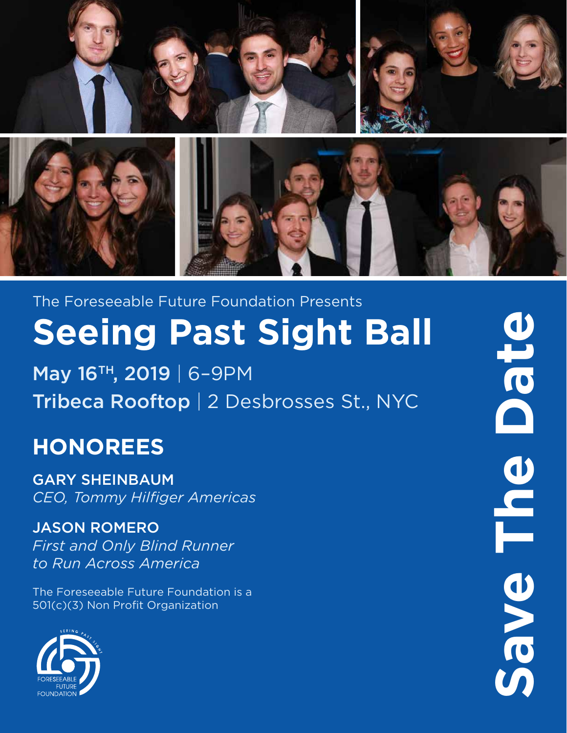

The Foreseeable Future Foundation Presents **Seeing Past Sight Ball**

May 16TH , 2019 | 6–9PM Tribeca Rooftop | 2 Desbrosses St., NYC

## **HONOREES**

GARY SHEINBAUM *CEO, Tommy Hilfiger Americas*

### JASON ROMERO

*First and Only Blind Runner to Run Across America*

The Foreseeable Future Foundation is a 501(c)(3) Non Profit Organization



**Save The Date**Save The Date